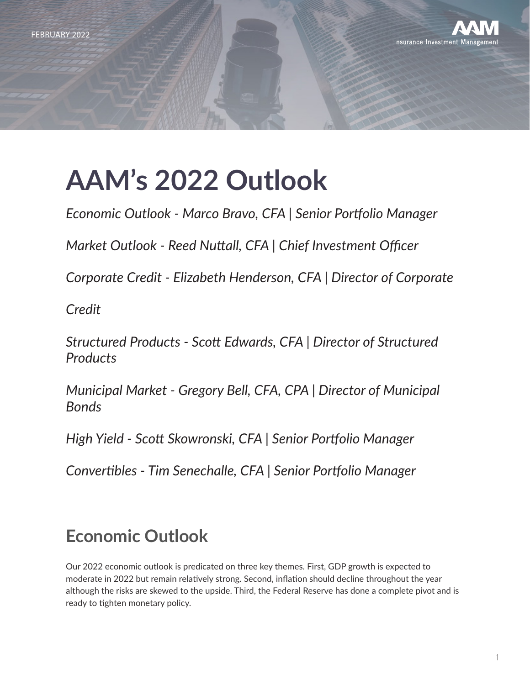

# **AAM's 2022 Outlook**

*Economic Outlook - Marco Bravo, CFA | Senior Portfolio Manager*

*Market Outlook - Reed Nuttall, CFA | Chief Investment Officer*

*Corporate Credit - Elizabeth Henderson, CFA | Director of Corporate*

*Credit*

*Structured Products - Scott Edwards, CFA | Director of Structured Products*

*Municipal Market - Gregory Bell, CFA, CPA | Director of Municipal Bonds*

*High Yield - Scott Skowronski, CFA | Senior Portfolio Manager*

*Convertibles - Tim Senechalle, CFA | Senior Portfolio Manager*

# **Economic Outlook**

Our 2022 economic outlook is predicated on three key themes. First, GDP growth is expected to moderate in 2022 but remain relatively strong. Second, inflation should decline throughout the year although the risks are skewed to the upside. Third, the Federal Reserve has done a complete pivot and is ready to tighten monetary policy.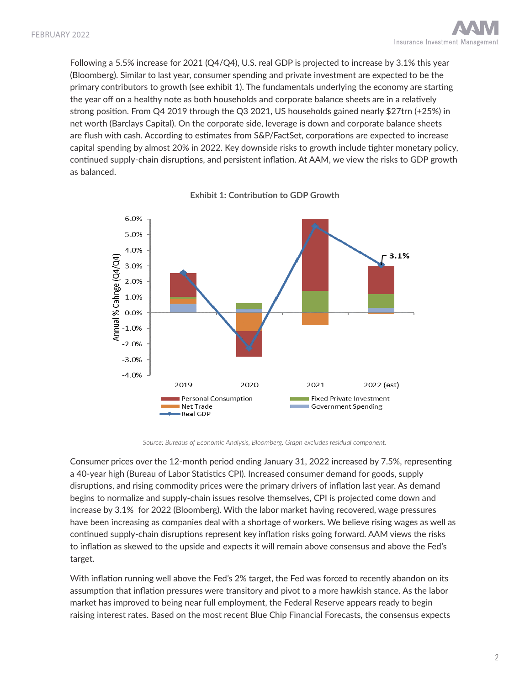Following a 5.5% increase for 2021 (Q4/Q4), U.S. real GDP is projected to increase by 3.1% this year (Bloomberg). Similar to last year, consumer spending and private investment are expected to be the primary contributors to growth (see exhibit 1). The fundamentals underlying the economy are starting the year off on a healthy note as both households and corporate balance sheets are in a relatively strong position. From Q4 2019 through the Q3 2021, US households gained nearly \$27trn (+25%) in net worth (Barclays Capital). On the corporate side, leverage is down and corporate balance sheets are flush with cash. According to estimates from S&P/FactSet, corporations are expected to increase capital spending by almost 20% in 2022. Key downside risks to growth include tighter monetary policy, continued supply-chain disruptions, and persistent inflation. At AAM, we view the risks to GDP growth as balanced.



**Exhibit 1: Contribution to GDP Growth**

*Source: Bureaus of Economic Analysis, Bloomberg. Graph excludes residual component.*

Consumer prices over the 12-month period ending January 31, 2022 increased by 7.5%, representing a 40-year high (Bureau of Labor Statistics CPI). Increased consumer demand for goods, supply disruptions, and rising commodity prices were the primary drivers of inflation last year. As demand begins to normalize and supply-chain issues resolve themselves, CPI is projected come down and increase by 3.1% for 2022 (Bloomberg). With the labor market having recovered, wage pressures have been increasing as companies deal with a shortage of workers. We believe rising wages as well as continued supply-chain disruptions represent key inflation risks going forward. AAM views the risks to inflation as skewed to the upside and expects it will remain above consensus and above the Fed's target.

With inflation running well above the Fed's 2% target, the Fed was forced to recently abandon on its assumption that inflation pressures were transitory and pivot to a more hawkish stance. As the labor market has improved to being near full employment, the Federal Reserve appears ready to begin raising interest rates. Based on the most recent Blue Chip Financial Forecasts, the consensus expects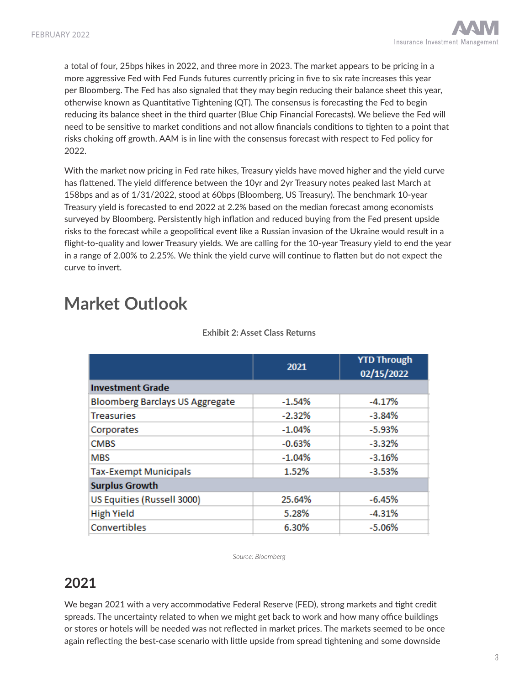a total of four, 25bps hikes in 2022, and three more in 2023. The market appears to be pricing in a more aggressive Fed with Fed Funds futures currently pricing in five to six rate increases this year per Bloomberg. The Fed has also signaled that they may begin reducing their balance sheet this year, otherwise known as Quantitative Tightening (QT). The consensus is forecasting the Fed to begin reducing its balance sheet in the third quarter (Blue Chip Financial Forecasts). We believe the Fed will need to be sensitive to market conditions and not allow financials conditions to tighten to a point that risks choking off growth. AAM is in line with the consensus forecast with respect to Fed policy for 2022.

With the market now pricing in Fed rate hikes, Treasury yields have moved higher and the yield curve has flattened. The yield difference between the 10yr and 2yr Treasury notes peaked last March at 158bps and as of 1/31/2022, stood at 60bps (Bloomberg, US Treasury). The benchmark 10-year Treasury yield is forecasted to end 2022 at 2.2% based on the median forecast among economists surveyed by Bloomberg. Persistently high inflation and reduced buying from the Fed present upside risks to the forecast while a geopolitical event like a Russian invasion of the Ukraine would result in a flight-to-quality and lower Treasury yields. We are calling for the 10-year Treasury yield to end the year in a range of 2.00% to 2.25%. We think the yield curve will continue to flatten but do not expect the curve to invert.

# **Market Outlook**

|                                        | 2021     | <b>YTD Through</b><br>02/15/2022 |
|----------------------------------------|----------|----------------------------------|
| <b>Investment Grade</b>                |          |                                  |
| <b>Bloomberg Barclays US Aggregate</b> | $-1.54%$ | $-4.17%$                         |
| <b>Treasuries</b>                      | $-2.32%$ | $-3.84%$                         |
| Corporates                             | $-1.04%$ | $-5.93%$                         |
| <b>CMBS</b>                            | $-0.63%$ | $-3.32%$                         |
| MBS                                    | $-1.04%$ | $-3.16%$                         |
| <b>Tax-Exempt Municipals</b>           | 1.52%    | $-3.53%$                         |
| <b>Surplus Growth</b>                  |          |                                  |
| US Equities (Russell 3000)             | 25.64%   | $-6.45%$                         |
| <b>High Yield</b>                      | 5.28%    | $-4.31%$                         |
| Convertibles                           | 6.30%    | $-5.06%$                         |

#### **Exhibit 2: Asset Class Returns**

*Source: Bloomberg*

### **2021**

We began 2021 with a very accommodative Federal Reserve (FED), strong markets and tight credit spreads. The uncertainty related to when we might get back to work and how many office buildings or stores or hotels will be needed was not reflected in market prices. The markets seemed to be once again reflecting the best-case scenario with little upside from spread tightening and some downside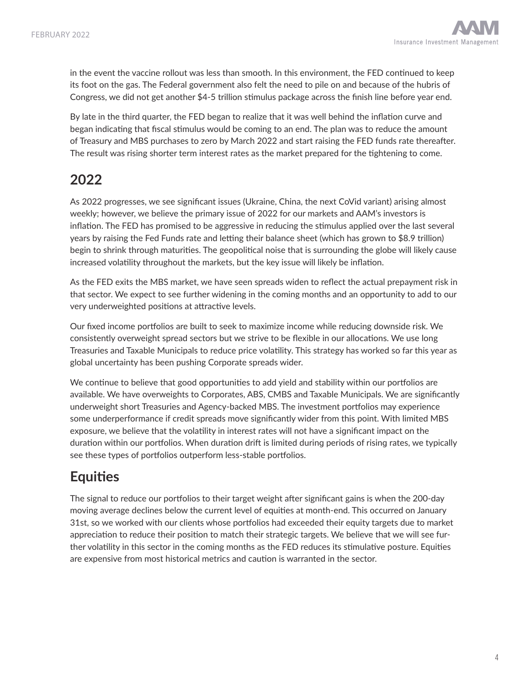in the event the vaccine rollout was less than smooth. In this environment, the FED continued to keep its foot on the gas. The Federal government also felt the need to pile on and because of the hubris of Congress, we did not get another \$4-5 trillion stimulus package across the finish line before year end.

By late in the third quarter, the FED began to realize that it was well behind the inflation curve and began indicating that fiscal stimulus would be coming to an end. The plan was to reduce the amount of Treasury and MBS purchases to zero by March 2022 and start raising the FED funds rate thereafter. The result was rising shorter term interest rates as the market prepared for the tightening to come.

### **2022**

As 2022 progresses, we see significant issues (Ukraine, China, the next CoVid variant) arising almost weekly; however, we believe the primary issue of 2022 for our markets and AAM's investors is inflation. The FED has promised to be aggressive in reducing the stimulus applied over the last several years by raising the Fed Funds rate and letting their balance sheet (which has grown to \$8.9 trillion) begin to shrink through maturities. The geopolitical noise that is surrounding the globe will likely cause increased volatility throughout the markets, but the key issue will likely be inflation.

As the FED exits the MBS market, we have seen spreads widen to reflect the actual prepayment risk in that sector. We expect to see further widening in the coming months and an opportunity to add to our very underweighted positions at attractive levels.

Our fixed income portfolios are built to seek to maximize income while reducing downside risk. We consistently overweight spread sectors but we strive to be flexible in our allocations. We use long Treasuries and Taxable Municipals to reduce price volatility. This strategy has worked so far this year as global uncertainty has been pushing Corporate spreads wider.

We continue to believe that good opportunities to add yield and stability within our portfolios are available. We have overweights to Corporates, ABS, CMBS and Taxable Municipals. We are significantly underweight short Treasuries and Agency-backed MBS. The investment portfolios may experience some underperformance if credit spreads move significantly wider from this point. With limited MBS exposure, we believe that the volatility in interest rates will not have a significant impact on the duration within our portfolios. When duration drift is limited during periods of rising rates, we typically see these types of portfolios outperform less-stable portfolios.

### **Equities**

The signal to reduce our portfolios to their target weight after significant gains is when the 200-day moving average declines below the current level of equities at month-end. This occurred on January 31st, so we worked with our clients whose portfolios had exceeded their equity targets due to market appreciation to reduce their position to match their strategic targets. We believe that we will see further volatility in this sector in the coming months as the FED reduces its stimulative posture. Equities are expensive from most historical metrics and caution is warranted in the sector.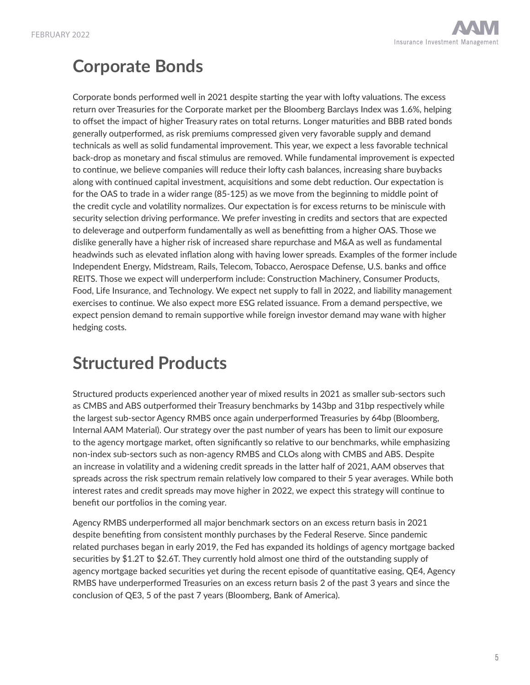# **Corporate Bonds**

Corporate bonds performed well in 2021 despite starting the year with lofty valuations. The excess return over Treasuries for the Corporate market per the Bloomberg Barclays Index was 1.6%, helping to offset the impact of higher Treasury rates on total returns. Longer maturities and BBB rated bonds generally outperformed, as risk premiums compressed given very favorable supply and demand technicals as well as solid fundamental improvement. This year, we expect a less favorable technical back-drop as monetary and fiscal stimulus are removed. While fundamental improvement is expected to continue, we believe companies will reduce their lofty cash balances, increasing share buybacks along with continued capital investment, acquisitions and some debt reduction. Our expectation is for the OAS to trade in a wider range (85-125) as we move from the beginning to middle point of the credit cycle and volatility normalizes. Our expectation is for excess returns to be miniscule with security selection driving performance. We prefer investing in credits and sectors that are expected to deleverage and outperform fundamentally as well as benefitting from a higher OAS. Those we dislike generally have a higher risk of increased share repurchase and M&A as well as fundamental headwinds such as elevated inflation along with having lower spreads. Examples of the former include Independent Energy, Midstream, Rails, Telecom, Tobacco, Aerospace Defense, U.S. banks and office REITS. Those we expect will underperform include: Construction Machinery, Consumer Products, Food, Life Insurance, and Technology. We expect net supply to fall in 2022, and liability management exercises to continue. We also expect more ESG related issuance. From a demand perspective, we expect pension demand to remain supportive while foreign investor demand may wane with higher hedging costs.

# **Structured Products**

Structured products experienced another year of mixed results in 2021 as smaller sub-sectors such as CMBS and ABS outperformed their Treasury benchmarks by 143bp and 31bp respectively while the largest sub-sector Agency RMBS once again underperformed Treasuries by 64bp (Bloomberg, Internal AAM Material). Our strategy over the past number of years has been to limit our exposure to the agency mortgage market, often significantly so relative to our benchmarks, while emphasizing non-index sub-sectors such as non-agency RMBS and CLOs along with CMBS and ABS. Despite an increase in volatility and a widening credit spreads in the latter half of 2021, AAM observes that spreads across the risk spectrum remain relatively low compared to their 5 year averages. While both interest rates and credit spreads may move higher in 2022, we expect this strategy will continue to benefit our portfolios in the coming year.

Agency RMBS underperformed all major benchmark sectors on an excess return basis in 2021 despite benefiting from consistent monthly purchases by the Federal Reserve. Since pandemic related purchases began in early 2019, the Fed has expanded its holdings of agency mortgage backed securities by \$1.2T to \$2.6T. They currently hold almost one third of the outstanding supply of agency mortgage backed securities yet during the recent episode of quantitative easing, QE4, Agency RMBS have underperformed Treasuries on an excess return basis 2 of the past 3 years and since the conclusion of QE3, 5 of the past 7 years (Bloomberg, Bank of America).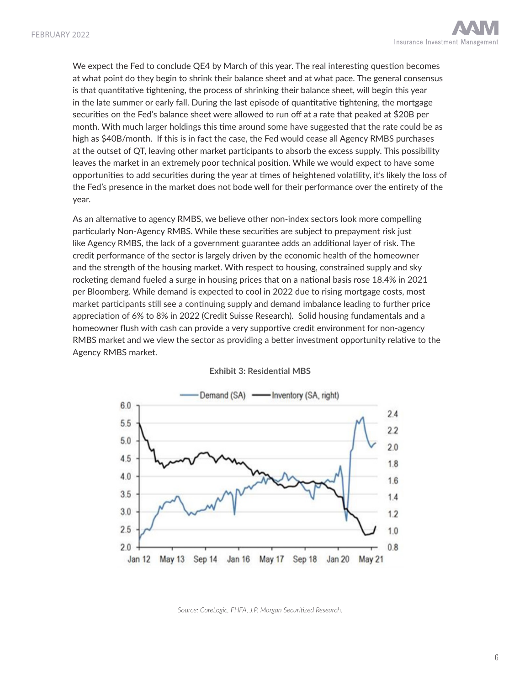We expect the Fed to conclude QE4 by March of this year. The real interesting question becomes at what point do they begin to shrink their balance sheet and at what pace. The general consensus is that quantitative tightening, the process of shrinking their balance sheet, will begin this year in the late summer or early fall. During the last episode of quantitative tightening, the mortgage securities on the Fed's balance sheet were allowed to run off at a rate that peaked at \$20B per month. With much larger holdings this time around some have suggested that the rate could be as high as \$40B/month. If this is in fact the case, the Fed would cease all Agency RMBS purchases at the outset of QT, leaving other market participants to absorb the excess supply. This possibility leaves the market in an extremely poor technical position. While we would expect to have some opportunities to add securities during the year at times of heightened volatility, it's likely the loss of the Fed's presence in the market does not bode well for their performance over the entirety of the year.

As an alternative to agency RMBS, we believe other non-index sectors look more compelling particularly Non-Agency RMBS. While these securities are subject to prepayment risk just like Agency RMBS, the lack of a government guarantee adds an additional layer of risk. The credit performance of the sector is largely driven by the economic health of the homeowner and the strength of the housing market. With respect to housing, constrained supply and sky rocketing demand fueled a surge in housing prices that on a national basis rose 18.4% in 2021 per Bloomberg. While demand is expected to cool in 2022 due to rising mortgage costs, most market participants still see a continuing supply and demand imbalance leading to further price appreciation of 6% to 8% in 2022 (Credit Suisse Research). Solid housing fundamentals and a homeowner flush with cash can provide a very supportive credit environment for non-agency RMBS market and we view the sector as providing a better investment opportunity relative to the Agency RMBS market.



**Exhibit 3: Residential MBS**

*Source: CoreLogic, FHFA, J.P. Morgan Securitized Research.*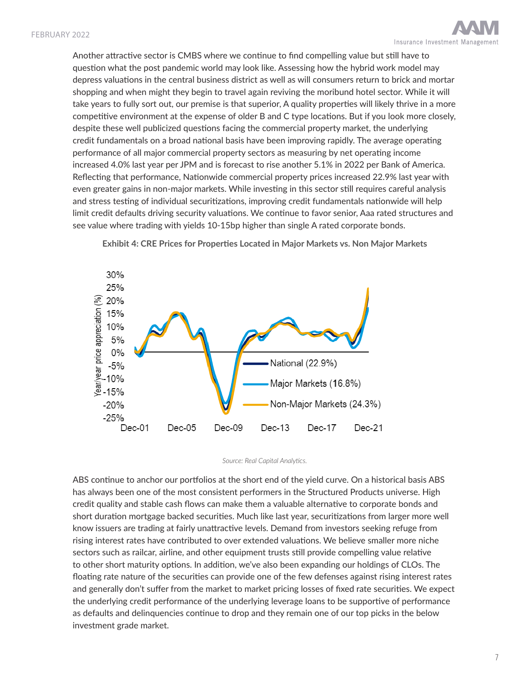Another attractive sector is CMBS where we continue to find compelling value but still have to question what the post pandemic world may look like. Assessing how the hybrid work model may depress valuations in the central business district as well as will consumers return to brick and mortar shopping and when might they begin to travel again reviving the moribund hotel sector. While it will take years to fully sort out, our premise is that superior, A quality properties will likely thrive in a more competitive environment at the expense of older B and C type locations. But if you look more closely, despite these well publicized questions facing the commercial property market, the underlying credit fundamentals on a broad national basis have been improving rapidly. The average operating performance of all major commercial property sectors as measuring by net operating income increased 4.0% last year per JPM and is forecast to rise another 5.1% in 2022 per Bank of America. Reflecting that performance, Nationwide commercial property prices increased 22.9% last year with even greater gains in non-major markets. While investing in this sector still requires careful analysis and stress testing of individual securitizations, improving credit fundamentals nationwide will help limit credit defaults driving security valuations. We continue to favor senior, Aaa rated structures and see value where trading with yields 10-15bp higher than single A rated corporate bonds.



**Exhibit 4: CRE Prices for Properties Located in Major Markets vs. Non Major Markets**

*Source: Real Capital Analytics.*

ABS continue to anchor our portfolios at the short end of the yield curve. On a historical basis ABS has always been one of the most consistent performers in the Structured Products universe. High credit quality and stable cash flows can make them a valuable alternative to corporate bonds and short duration mortgage backed securities. Much like last year, securitizations from larger more well know issuers are trading at fairly unattractive levels. Demand from investors seeking refuge from rising interest rates have contributed to over extended valuations. We believe smaller more niche sectors such as railcar, airline, and other equipment trusts still provide compelling value relative to other short maturity options. In addition, we've also been expanding our holdings of CLOs. The floating rate nature of the securities can provide one of the few defenses against rising interest rates and generally don't suffer from the market to market pricing losses of fixed rate securities. We expect the underlying credit performance of the underlying leverage loans to be supportive of performance as defaults and delinquencies continue to drop and they remain one of our top picks in the below investment grade market.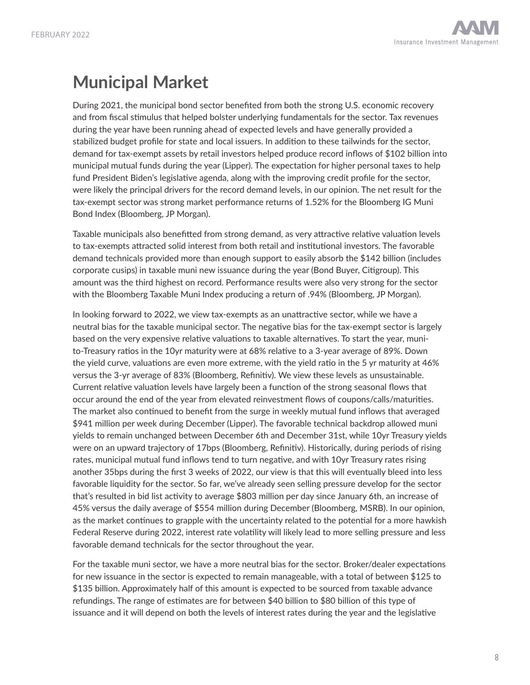

# **Municipal Market**

During 2021, the municipal bond sector benefited from both the strong U.S. economic recovery and from fiscal stimulus that helped bolster underlying fundamentals for the sector. Tax revenues during the year have been running ahead of expected levels and have generally provided a stabilized budget profile for state and local issuers. In addition to these tailwinds for the sector, demand for tax-exempt assets by retail investors helped produce record inflows of \$102 billion into municipal mutual funds during the year (Lipper). The expectation for higher personal taxes to help fund President Biden's legislative agenda, along with the improving credit profile for the sector, were likely the principal drivers for the record demand levels, in our opinion. The net result for the tax-exempt sector was strong market performance returns of 1.52% for the Bloomberg IG Muni Bond Index (Bloomberg, JP Morgan).

Taxable municipals also benefitted from strong demand, as very attractive relative valuation levels to tax-exempts attracted solid interest from both retail and institutional investors. The favorable demand technicals provided more than enough support to easily absorb the \$142 billion (includes corporate cusips) in taxable muni new issuance during the year (Bond Buyer, Citigroup). This amount was the third highest on record. Performance results were also very strong for the sector with the Bloomberg Taxable Muni Index producing a return of .94% (Bloomberg, JP Morgan).

In looking forward to 2022, we view tax-exempts as an unattractive sector, while we have a neutral bias for the taxable municipal sector. The negative bias for the tax-exempt sector is largely based on the very expensive relative valuations to taxable alternatives. To start the year, munito-Treasury ratios in the 10yr maturity were at 68% relative to a 3-year average of 89%. Down the yield curve, valuations are even more extreme, with the yield ratio in the 5 yr maturity at 46% versus the 3-yr average of 83% (Bloomberg, Refinitiv). We view these levels as unsustainable. Current relative valuation levels have largely been a function of the strong seasonal flows that occur around the end of the year from elevated reinvestment flows of coupons/calls/maturities. The market also continued to benefit from the surge in weekly mutual fund inflows that averaged \$941 million per week during December (Lipper). The favorable technical backdrop allowed muni yields to remain unchanged between December 6th and December 31st, while 10yr Treasury yields were on an upward trajectory of 17bps (Bloomberg, Refinitiv). Historically, during periods of rising rates, municipal mutual fund inflows tend to turn negative, and with 10yr Treasury rates rising another 35bps during the first 3 weeks of 2022, our view is that this will eventually bleed into less favorable liquidity for the sector. So far, we've already seen selling pressure develop for the sector that's resulted in bid list activity to average \$803 million per day since January 6th, an increase of 45% versus the daily average of \$554 million during December (Bloomberg, MSRB). In our opinion, as the market continues to grapple with the uncertainty related to the potential for a more hawkish Federal Reserve during 2022, interest rate volatility will likely lead to more selling pressure and less favorable demand technicals for the sector throughout the year.

For the taxable muni sector, we have a more neutral bias for the sector. Broker/dealer expectations for new issuance in the sector is expected to remain manageable, with a total of between \$125 to \$135 billion. Approximately half of this amount is expected to be sourced from taxable advance refundings. The range of estimates are for between \$40 billion to \$80 billion of this type of issuance and it will depend on both the levels of interest rates during the year and the legislative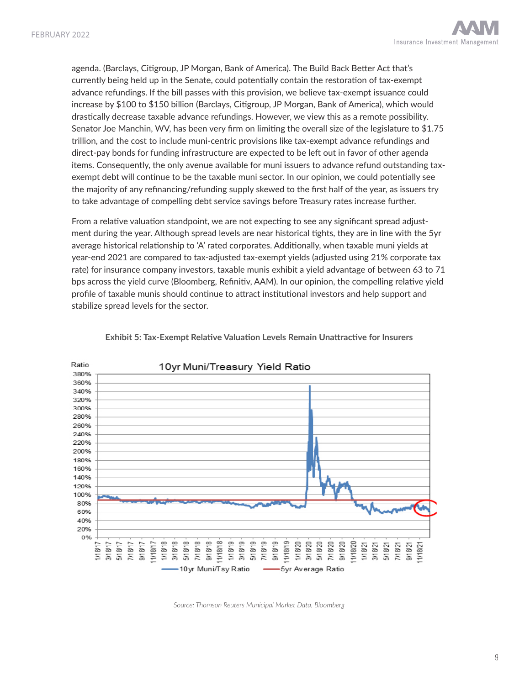agenda. (Barclays, Citigroup, JP Morgan, Bank of America). The Build Back Better Act that's currently being held up in the Senate, could potentially contain the restoration of tax-exempt advance refundings. If the bill passes with this provision, we believe tax-exempt issuance could increase by \$100 to \$150 billion (Barclays, Citigroup, JP Morgan, Bank of America), which would drastically decrease taxable advance refundings. However, we view this as a remote possibility. Senator Joe Manchin, WV, has been very firm on limiting the overall size of the legislature to \$1.75 trillion, and the cost to include muni-centric provisions like tax-exempt advance refundings and direct-pay bonds for funding infrastructure are expected to be left out in favor of other agenda items. Consequently, the only avenue available for muni issuers to advance refund outstanding taxexempt debt will continue to be the taxable muni sector. In our opinion, we could potentially see the majority of any refinancing/refunding supply skewed to the first half of the year, as issuers try to take advantage of compelling debt service savings before Treasury rates increase further.

From a relative valuation standpoint, we are not expecting to see any significant spread adjustment during the year. Although spread levels are near historical tights, they are in line with the 5yr average historical relationship to 'A' rated corporates. Additionally, when taxable muni yields at year-end 2021 are compared to tax-adjusted tax-exempt yields (adjusted using 21% corporate tax rate) for insurance company investors, taxable munis exhibit a yield advantage of between 63 to 71 bps across the yield curve (Bloomberg, Refinitiv, AAM). In our opinion, the compelling relative yield profile of taxable munis should continue to attract institutional investors and help support and stabilize spread levels for the sector.



**Exhibit 5: Tax-Exempt Relative Valuation Levels Remain Unattractive for Insurers**

*Source: Thomson Reuters Municipal Market Data, Bloomberg*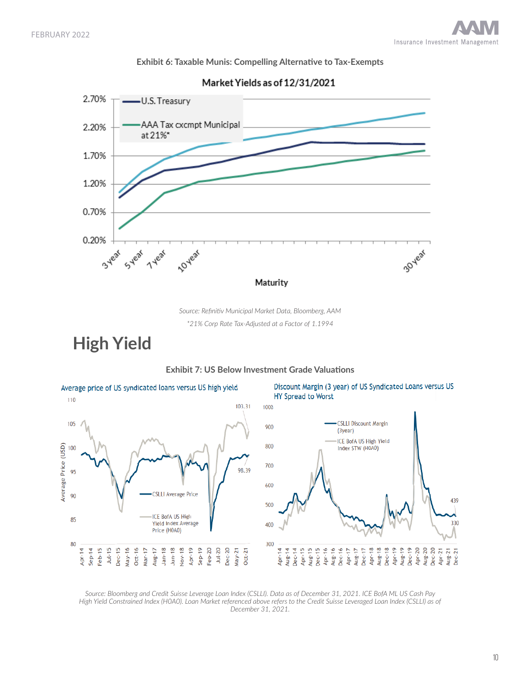



Market Yields as of 12/31/2021

*Source: Refinitiv Municipal Market Data, Bloomberg, AAM*

*\*21% Corp Rate Tax-Adjusted at a Factor of 1.1994*

**High Yield**



**Exhibit 7: US Below Investment Grade Valuations**

*Source: Bloomberg and Credit Suisse Leverage Loan Index (CSLLI). Data as of December 31, 2021. ICE BofA ML US Cash Pay High Yield Constrained Index (H0A0). Loan Market referenced above refers to the Credit Suisse Leveraged Loan Index (CSLLI) as of December 31, 2021.*

#### 10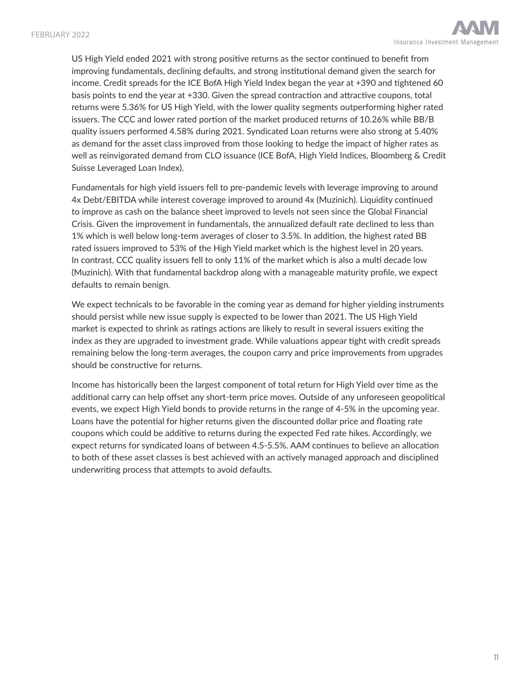US High Yield ended 2021 with strong positive returns as the sector continued to benefit from improving fundamentals, declining defaults, and strong institutional demand given the search for income. Credit spreads for the ICE BofA High Yield Index began the year at +390 and tightened 60 basis points to end the year at +330. Given the spread contraction and attractive coupons, total returns were 5.36% for US High Yield, with the lower quality segments outperforming higher rated issuers. The CCC and lower rated portion of the market produced returns of 10.26% while BB/B quality issuers performed 4.58% during 2021. Syndicated Loan returns were also strong at 5.40% as demand for the asset class improved from those looking to hedge the impact of higher rates as well as reinvigorated demand from CLO issuance (ICE BofA, High Yield Indices, Bloomberg & Credit Suisse Leveraged Loan Index).

Fundamentals for high yield issuers fell to pre-pandemic levels with leverage improving to around 4x Debt/EBITDA while interest coverage improved to around 4x (Muzinich). Liquidity continued to improve as cash on the balance sheet improved to levels not seen since the Global Financial Crisis. Given the improvement in fundamentals, the annualized default rate declined to less than 1% which is well below long-term averages of closer to 3.5%. In addition, the highest rated BB rated issuers improved to 53% of the High Yield market which is the highest level in 20 years. In contrast, CCC quality issuers fell to only 11% of the market which is also a multi decade low (Muzinich). With that fundamental backdrop along with a manageable maturity profile, we expect defaults to remain benign.

We expect technicals to be favorable in the coming year as demand for higher yielding instruments should persist while new issue supply is expected to be lower than 2021. The US High Yield market is expected to shrink as ratings actions are likely to result in several issuers exiting the index as they are upgraded to investment grade. While valuations appear tight with credit spreads remaining below the long-term averages, the coupon carry and price improvements from upgrades should be constructive for returns.

Income has historically been the largest component of total return for High Yield over time as the additional carry can help offset any short-term price moves. Outside of any unforeseen geopolitical events, we expect High Yield bonds to provide returns in the range of 4-5% in the upcoming year. Loans have the potential for higher returns given the discounted dollar price and floating rate coupons which could be additive to returns during the expected Fed rate hikes. Accordingly, we expect returns for syndicated loans of between 4.5-5.5%. AAM continues to believe an allocation to both of these asset classes is best achieved with an actively managed approach and disciplined underwriting process that attempts to avoid defaults.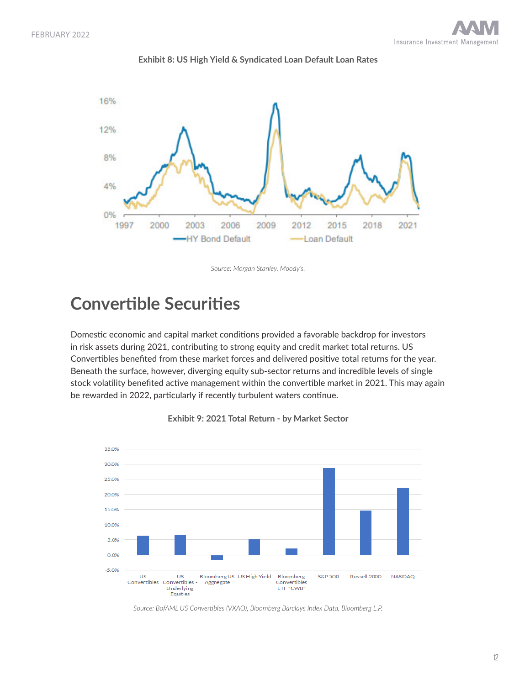

#### **Exhibit 8: US High Yield & Syndicated Loan Default Loan Rates**

#### *Source: Morgan Stanley, Moody's.*

### **Convertible Securities**

Domestic economic and capital market conditions provided a favorable backdrop for investors in risk assets during 2021, contributing to strong equity and credit market total returns. US Convertibles benefited from these market forces and delivered positive total returns for the year. Beneath the surface, however, diverging equity sub-sector returns and incredible levels of single stock volatility benefited active management within the convertible market in 2021. This may again be rewarded in 2022, particularly if recently turbulent waters continue.





*Source: BofAML US Convertibles (VXAO), Bloomberg Barclays Index Data, Bloomberg L.P.*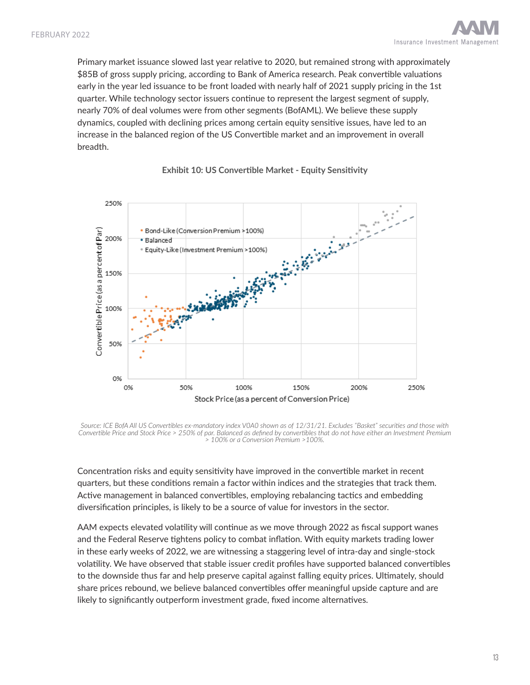Primary market issuance slowed last year relative to 2020, but remained strong with approximately \$85B of gross supply pricing, according to Bank of America research. Peak convertible valuations early in the year led issuance to be front loaded with nearly half of 2021 supply pricing in the 1st quarter. While technology sector issuers continue to represent the largest segment of supply, nearly 70% of deal volumes were from other segments (BofAML). We believe these supply dynamics, coupled with declining prices among certain equity sensitive issues, have led to an increase in the balanced region of the US Convertible market and an improvement in overall breadth.



### **Exhibit 10: US Convertible Market - Equity Sensitivity**

*Source: ICE BofA All US Convertibles ex-mandatory index V0A0 shown as of 12/31/21. Excludes "Basket" securities and those with Convertible Price and Stock Price > 250% of par. Balanced as defined by convertibles that do not have either an Investment Premium > 100% or a Conversion Premium >100%.*

Concentration risks and equity sensitivity have improved in the convertible market in recent quarters, but these conditions remain a factor within indices and the strategies that track them. Active management in balanced convertibles, employing rebalancing tactics and embedding diversification principles, is likely to be a source of value for investors in the sector.

AAM expects elevated volatility will continue as we move through 2022 as fiscal support wanes and the Federal Reserve tightens policy to combat inflation. With equity markets trading lower in these early weeks of 2022, we are witnessing a staggering level of intra-day and single-stock volatility. We have observed that stable issuer credit profiles have supported balanced convertibles to the downside thus far and help preserve capital against falling equity prices. Ultimately, should share prices rebound, we believe balanced convertibles offer meaningful upside capture and are likely to significantly outperform investment grade, fixed income alternatives.